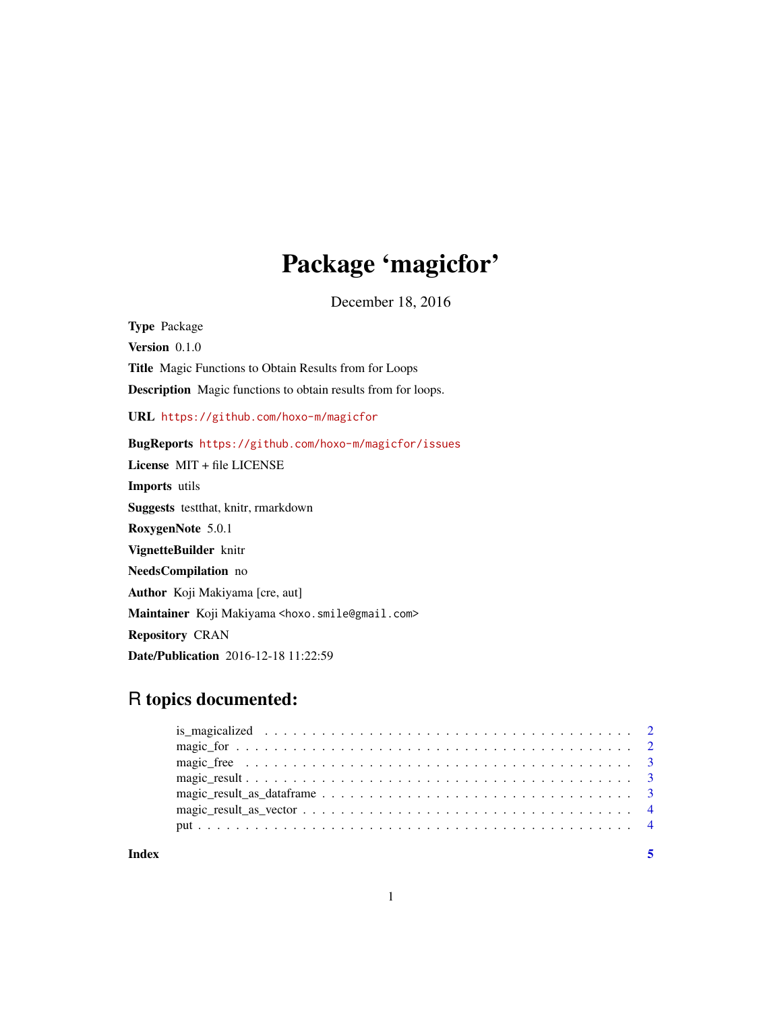# Package 'magicfor'

December 18, 2016

Type Package Version 0.1.0 Title Magic Functions to Obtain Results from for Loops Description Magic functions to obtain results from for loops. URL <https://github.com/hoxo-m/magicfor> BugReports <https://github.com/hoxo-m/magicfor/issues> License MIT + file LICENSE Imports utils Suggests testthat, knitr, rmarkdown RoxygenNote 5.0.1 VignetteBuilder knitr NeedsCompilation no Author Koji Makiyama [cre, aut] Maintainer Koji Makiyama <hoxo.smile@gmail.com> Repository CRAN Date/Publication 2016-12-18 11:22:59

## R topics documented:

**Index** [5](#page-4-0). The second state of the second state of the second state of the second state of the second state of the second state of the second state of the second state of the second state of the second state of the second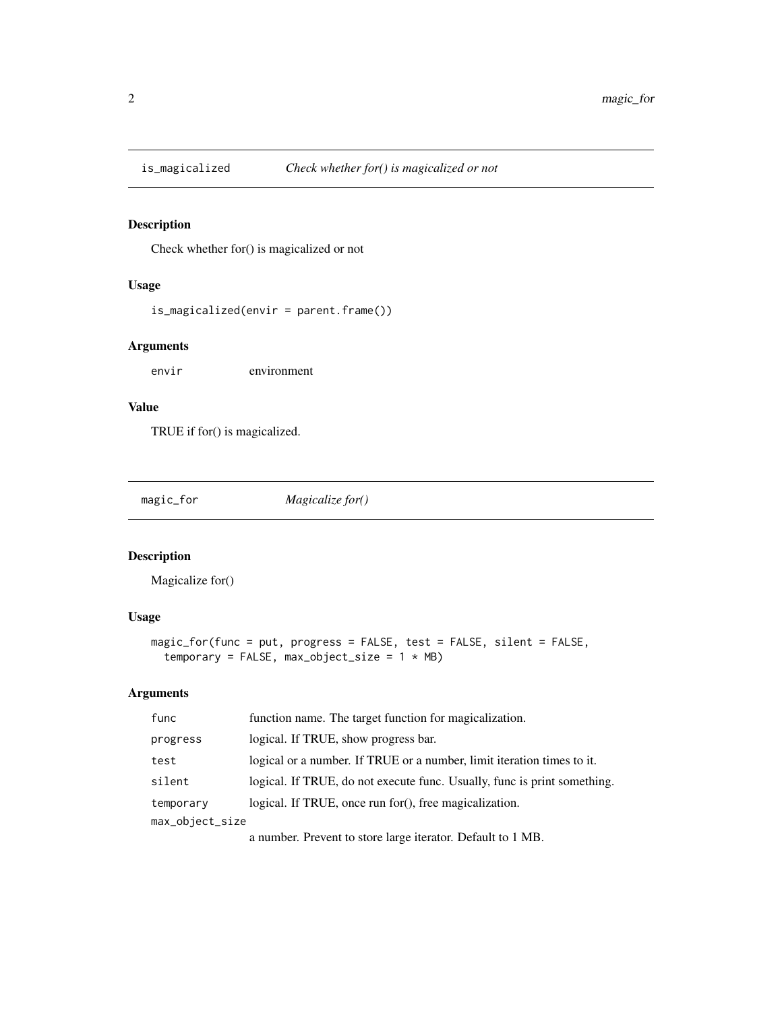<span id="page-1-0"></span>

#### Description

Check whether for() is magicalized or not

#### Usage

```
is_magicalized(envir = parent.frame())
```
#### Arguments

envir environment

#### Value

TRUE if for() is magicalized.

| magic_for | Magicalize for() |
|-----------|------------------|
|           |                  |

#### Description

Magicalize for()

#### Usage

```
magic_for(func = put, progress = FALSE, test = FALSE, silent = FALSE,
temporary = FALSE, max\_object\_size = 1 * MB)
```
#### Arguments

| func            | function name. The target function for magicalization.                   |  |  |
|-----------------|--------------------------------------------------------------------------|--|--|
| progress        | logical. If TRUE, show progress bar.                                     |  |  |
| test            | logical or a number. If TRUE or a number, limit iteration times to it.   |  |  |
| silent          | logical. If TRUE, do not execute func. Usually, func is print something. |  |  |
| temporary       | logical. If TRUE, once run for(), free magicalization.                   |  |  |
| max_object_size |                                                                          |  |  |
|                 | a number. Prevent to store large iterator. Default to 1 MB.              |  |  |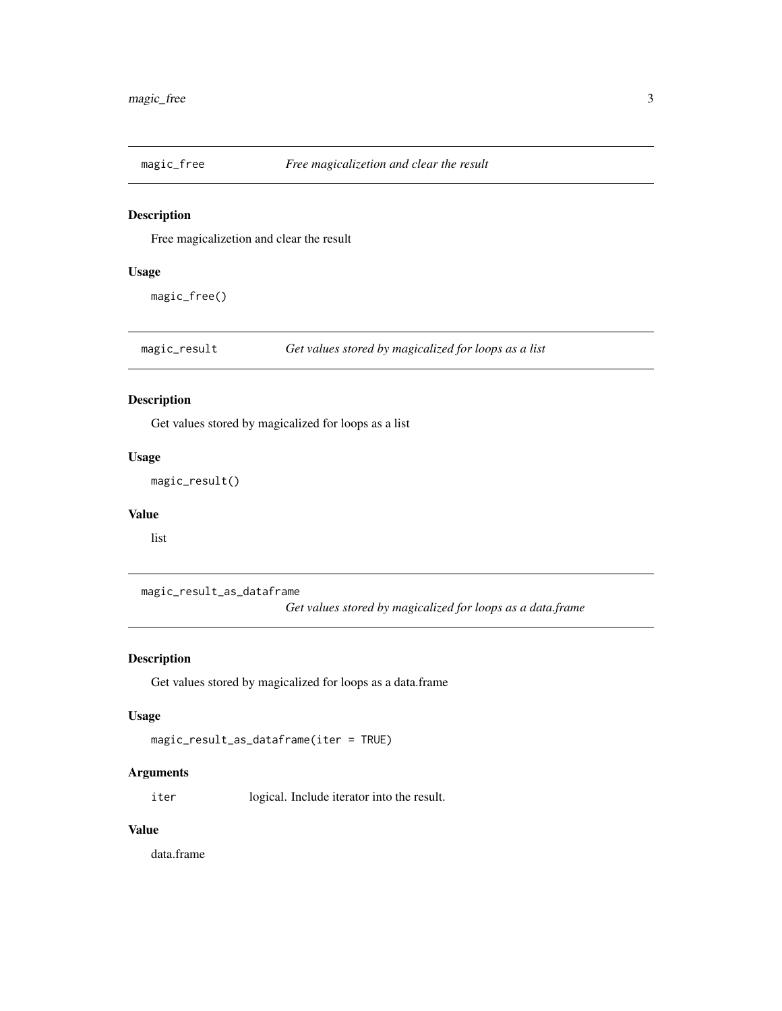<span id="page-2-0"></span>

#### Description

Free magicalizetion and clear the result

#### Usage

magic\_free()

magic\_result *Get values stored by magicalized for loops as a list*

#### Description

Get values stored by magicalized for loops as a list

#### Usage

magic\_result()

#### Value

list

magic\_result\_as\_dataframe

*Get values stored by magicalized for loops as a data.frame*

#### Description

Get values stored by magicalized for loops as a data.frame

#### Usage

```
magic_result_as_dataframe(iter = TRUE)
```
#### Arguments

iter logical. Include iterator into the result.

#### Value

data.frame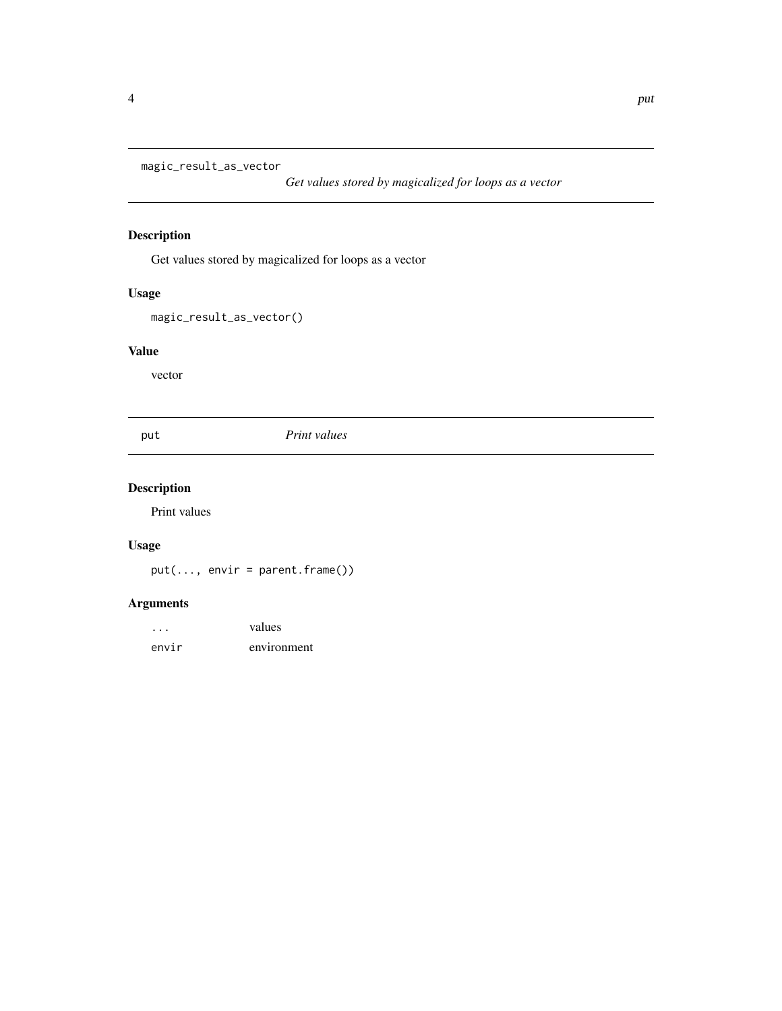<span id="page-3-0"></span>magic\_result\_as\_vector

*Get values stored by magicalized for loops as a vector*

#### Description

Get values stored by magicalized for loops as a vector

#### Usage

magic\_result\_as\_vector()

#### Value

vector

put *Print values*

### Description

Print values

#### Usage

put(..., envir = parent.frame())

#### Arguments

| $\cdots$ | values      |
|----------|-------------|
| envir    | environment |